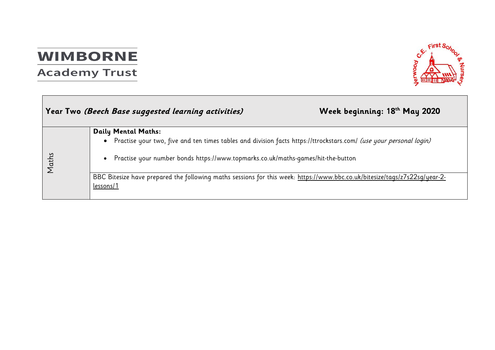# **WIMBORNE**

# **Academy Trust**



|       | Year Two (Beech Base suggested learning activities)                                                                                              | Week beginning: 18th May 2020 |
|-------|--------------------------------------------------------------------------------------------------------------------------------------------------|-------------------------------|
|       | <b>Daily Mental Maths:</b><br>Practise your two, five and ten times tables and division facts https://ttrockstars.com/ (use your personal login) |                               |
| Maths | Practise your number bonds https://www.topmarks.co.uk/maths-games/hit-the-button                                                                 |                               |
|       | BBC Bitesize have prepared the following maths sessions for this week: https://www.bbc.co.uk/bitesize/tags/z7s22sg/year-2-<br>lessons/1          |                               |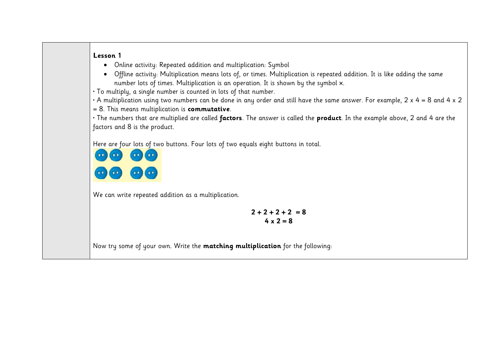- Online activity: Repeated addition and multiplication: Symbol
- Offline activity: Multiplication means lots of, or times. Multiplication is repeated addition. It is like adding the same number lots of times. Multiplication is an operation. It is shown by the symbol ×.

• To multiply, a single number is counted in lots of that number.

• A multiplication using two numbers can be done in any order and still have the same answer. For example, 2 x 4 = 8 and 4 x 2

= 8. This means multiplication is **commutative**.

• The numbers that are multiplied are called **factors**. The answer is called the **product**. In the example above, 2 and 4 are the factors and 8 is the product.

Here are four lots of two buttons. Four lots of two equals eight buttons in total.



We can write repeated addition as a multiplication.

 $2 + 2 + 2 + 2 = 8$ **4 x 2 = 8**

Now try some of your own. Write the **matching multiplication** for the following: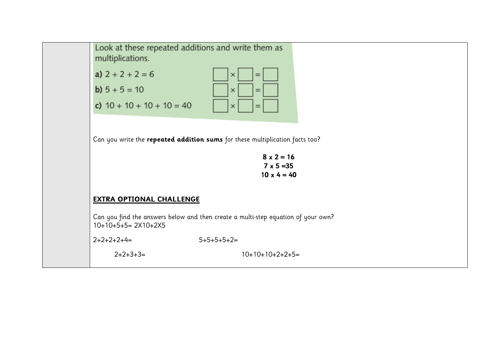

| a) $2 + 2 + 2 = 6$          | $  \times   =  $                                             |
|-----------------------------|--------------------------------------------------------------|
| <b>b</b> ) $5 + 5 = 10$     | $\vert$ $\vert$ $\times$ $\vert$ $\vert$ $=$ $\vert$ $\vert$ |
| c) $10 + 10 + 10 + 10 = 40$ | $  \times   =  $                                             |

Can you write the **repeated addition sums** for these multiplication facts too?

**8 x 2 = 16 7 x 5 =35 10 x 4 = 40**

### **EXTRA OPTIONAL CHALLENGE**

Can you find the answers below and then create a multi-step equation of your own?  $10+10+5+5= 2X10+2X5$ 

 $2+2+2+4=$   $5+5+5+5+2=$ 

2+2+3+3= 10+10+10+2+2+5=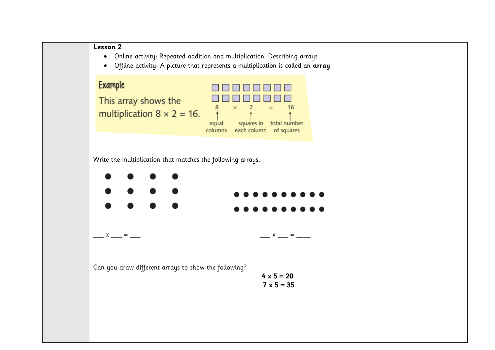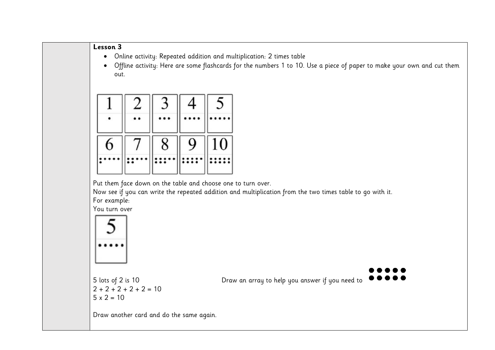- Online activity: Repeated addition and multiplication: 2 times table
- Offline activity: Here are some flashcards for the numbers 1 to 10. Use a piece of paper to make your own and cut them out.

|   |        |   | 4 |    |
|---|--------|---|---|----|
|   |        |   |   |    |
| 6 | $\tau$ | 8 | 9 | 10 |
|   |        |   |   |    |

Put them face down on the table and choose one to turn over.

Now see if you can write the repeated addition and multiplication from the two times table to go with it. For example:

You turn over



 $2 + 2 + 2 + 2 + 2 = 10$  $5 \times 2 = 10$ 

5 lots of 2 is 10 Draw an array to help you answer if you need to

Draw another card and do the same again.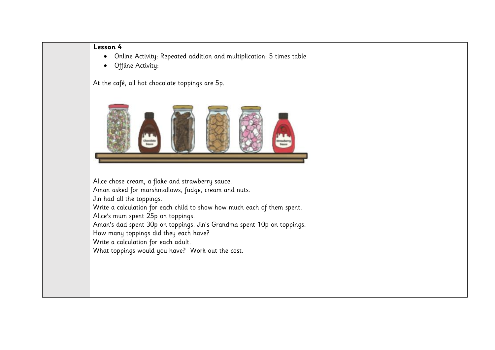- Online Activity: Repeated addition and multiplication: 5 times table
- Offline Activity:

At the café, all hot chocolate toppings are 5p.



Alice chose cream, a flake and strawberry sauce. Aman asked for marshmallows, fudge, cream and nuts. Jin had all the toppings. Write a calculation for each child to show how much each of them spent. Alice's mum spent 25p on toppings. Aman's dad spent 30p on toppings. Jin's Grandma spent 10p on toppings. How many toppings did they each have? Write a calculation for each adult. What toppings would you have? Work out the cost.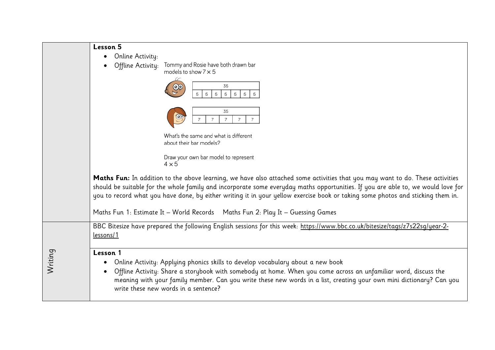|         | Lesson 5                                                                                                                                                                                                                                                                                                                                                                                             |
|---------|------------------------------------------------------------------------------------------------------------------------------------------------------------------------------------------------------------------------------------------------------------------------------------------------------------------------------------------------------------------------------------------------------|
|         | Online Activity:<br>Tommy and Rosie have both drawn bar<br>Offline Activity:<br>models to show $7 \times 5$<br>35<br>$\Theta$                                                                                                                                                                                                                                                                        |
|         | 5<br>5 <sup>1</sup><br>5<br>5<br>5<br>5<br>5<br>35<br>$\overline{7}$                                                                                                                                                                                                                                                                                                                                 |
|         | What's the same and what is different<br>about their bar models?                                                                                                                                                                                                                                                                                                                                     |
|         | Draw your own bar model to represent<br>$4 \times 5$                                                                                                                                                                                                                                                                                                                                                 |
|         | Maths Fun: In addition to the above learning, we have also attached some activities that you may want to do. These activities<br>should be suitable for the whole family and incorporate some everyday maths opportunities. If you are able to, we would love for<br>you to record what you have done, by either writing it in your yellow exercise book or taking some photos and sticking them in. |
|         | Maths Fun 1: Estimate It - World Records  Maths Fun 2: Play It - Guessing Games                                                                                                                                                                                                                                                                                                                      |
|         | BBC Bitesize have prepared the following English sessions for this week: https://www.bbc.co.uk/bitesize/tags/z7s22sg/year-2-<br>lessons/1                                                                                                                                                                                                                                                            |
| Writing | Lesson 1<br>Online Activity: Applying phonics skills to develop vocabulary about a new book<br>Offline Activity: Share a storybook with somebody at home. When you come across an unfamiliar word, discuss the<br>meaning with your family member. Can you write these new words in a list, creating your own mini dictionary? Can you<br>write these new words in a sentence?                       |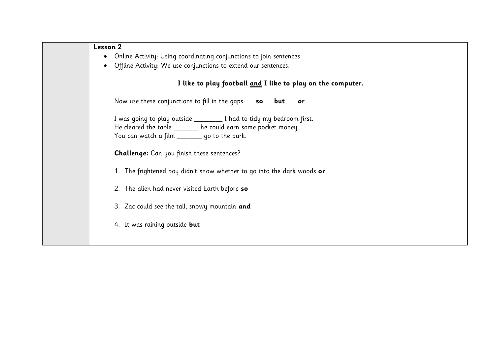| Lesson 2                                                                                                                                                                                 |
|------------------------------------------------------------------------------------------------------------------------------------------------------------------------------------------|
| Online Activity: Using coordinating conjunctions to join sentences                                                                                                                       |
| Offline Activity: We use conjunctions to extend our sentences.                                                                                                                           |
| I like to play football and I like to play on the computer.                                                                                                                              |
| Now use these conjunctions to fill in the gaps: so but or                                                                                                                                |
| I was going to play outside ___________ I had to tidy my bedroom first.<br>He cleared the table ______ he could earn some pocket money.<br>You can watch a film ________ go to the park. |
| <b>Challenge:</b> Can you finish these sentences?                                                                                                                                        |
| 1. The frightened boy didn't know whether to go into the dark woods or                                                                                                                   |
| 2. The alien had never visited Earth before so                                                                                                                                           |
| 3. Zac could see the tall, snowy mountain and                                                                                                                                            |
| 4. It was raining outside but                                                                                                                                                            |
|                                                                                                                                                                                          |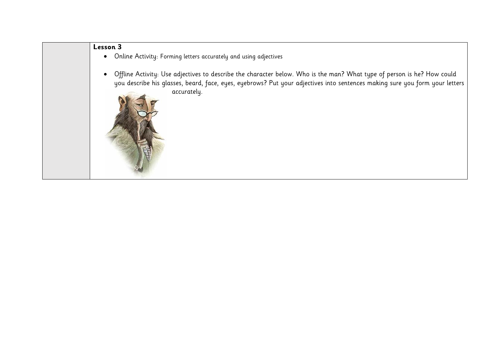- Online Activity: Forming letters accurately and using adjectives
- Offline Activity: Use adjectives to describe the character below. Who is the man? What type of person is he? How could you describe his glasses, beard, face, eyes, eyebrows? Put your adjectives into sentences making sure you form your letters accurately.
	-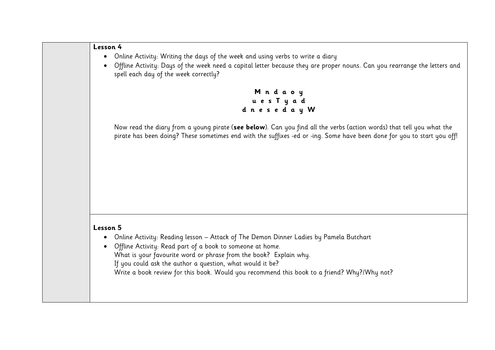- Online Activity: Writing the days of the week and using verbs to write a diary
- Offline Activity: Days of the week need a capital letter because they are proper nouns. Can you rearrange the letters and spell each day of the week correctly?

**M n d a o y u e s T y a d d n e s e d a y W**

Now read the diary from a young pirate (**see below**). Can you find all the verbs (action words) that tell you what the pirate has been doing? These sometimes end with the suffixes -ed or -ing. Some have been done for you to start you off!

### **Lesson 5**

- Online Activity: Reading lesson Attack of The Demon Dinner Ladies by Pamela Butchart
- Offline Activity: Read part of a book to someone at home. What is your favourite word or phrase from the book? Explain why. If you could ask the author a question, what would it be? Write a book review for this book. Would you recommend this book to a friend? Why?/Why not?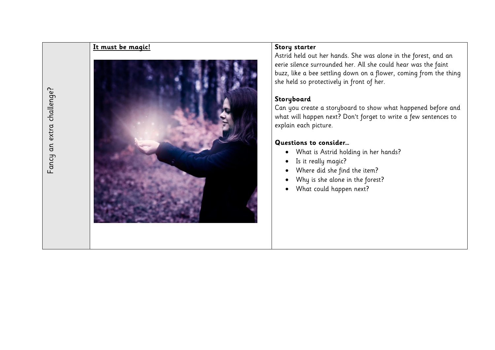# **It must be magic! Story starter** Fancy an extra challenge? Fancy an extra challenge?

Astrid held out her hands. She was alone in the forest, and an eerie silence surrounded her. All she could hear was the faint buzz, like a bee settling down on a flower, coming from the thing she held so protectively in front of her.

## **Storyboard**

Can you create a storyboard to show what happened before and what will happen next? Don't forget to write a few sentences to explain each picture.

## **Questions to consider…**

- What is Astrid holding in her hands?
- Is it really magic?
- Where did she find the item?
- Why is she alone in the forest?
- What could happen next?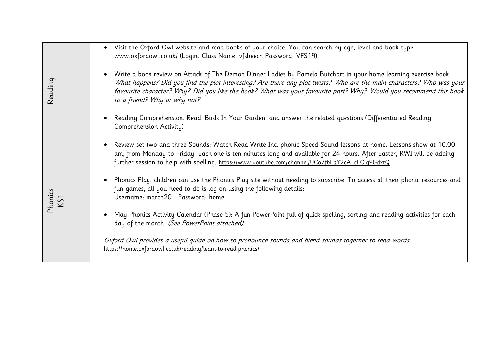| Reading        | Visit the Oxford Owl website and read books of your choice. You can search by age, level and book type.<br>www.oxfordowl.co.uk/ (Login: Class Name: vfsbeech Password: VFS19)                                                                                                                                                                                                                    |
|----------------|--------------------------------------------------------------------------------------------------------------------------------------------------------------------------------------------------------------------------------------------------------------------------------------------------------------------------------------------------------------------------------------------------|
|                | • Write a book review on Attack of The Demon Dinner Ladies by Pamela Butchart in your home learning exercise book.<br>What happens? Did you find the plot interesting? Are there any plot twists? Who are the main characters? Who was your<br>favourite character? Why? Did you like the book? What was your favourite part? Why? Would you recommend this book<br>to a friend? Why or why not? |
|                | Reading Comprehension: Read 'Birds In Your Garden' and answer the related questions (Differentiated Reading<br>Comprehension Activity)                                                                                                                                                                                                                                                           |
| Phonics<br>KS1 | • Review set two and three Sounds: Watch Read Write Inc. phonic Speed Sound lessons at home. Lessons show at 10.00<br>am, from Monday to Friday. Each one is ten minutes long and available for 24 hours. After Easter, RWI will be adding<br>further session to help with spelling. https://www.youtube.com/channel/UCo7fbLgY2oA_cFCIg9GdxtQ                                                    |
|                | • Phonics Play: children can use the Phonics Play site without needing to subscribe. To access all their phonic resources and<br>fun games, all you need to do is log on using the following details:<br>Username: march20 Password: home                                                                                                                                                        |
|                | May Phonics Activity Calendar (Phase 5): A fun PowerPoint full of quick spelling, sorting and reading activities for each<br>day of the month. (See PowerPoint attached).                                                                                                                                                                                                                        |
|                | Oxford Owl provides a useful guide on how to pronounce sounds and blend sounds together to read words.<br>https://home.oxfordowl.co.uk/reading/learn-to-read-phonics/                                                                                                                                                                                                                            |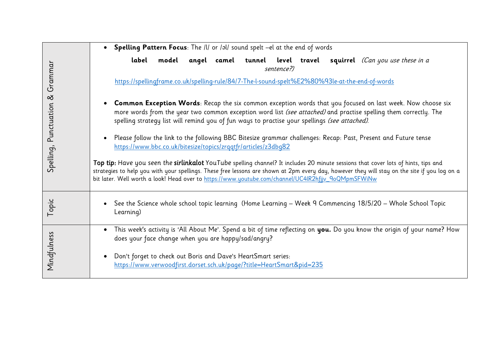|                         | • Spelling Pattern Focus: The /l/ or /al/ sound spelt -el at the end of words                                                                                                                                                                                                                                                                                                              |
|-------------------------|--------------------------------------------------------------------------------------------------------------------------------------------------------------------------------------------------------------------------------------------------------------------------------------------------------------------------------------------------------------------------------------------|
|                         | model angel camel tunnel level travel squirrel (Can you use these in a<br>label<br>sentence?)                                                                                                                                                                                                                                                                                              |
| Grammar                 | https://spellingframe.co.uk/spelling-rule/84/7-The-l-sound-spelt%E2%80%93le-at-the-end-of-words                                                                                                                                                                                                                                                                                            |
| $\infty$<br>Punctuation | • Common Exception Words: Recap the six common exception words that you focused on last week. Now choose six<br>more words from the year two common exception word list (see attached) and practise spelling them correctly. The<br>spelling strategy list will remind you of fun ways to practise your spellings (see attached).                                                          |
|                         | Please follow the link to the following BBC Bitesize grammar challenges: Recap: Past, Present and Future tense<br>$\bullet$<br>https://www.bbc.co.uk/bitesize/topics/zrqqtfr/articles/z3dbq82                                                                                                                                                                                              |
| Spelling,               | Top tip: Have you seen the sirlinkalot YouTube spelling channel? It includes 20 minute sessions that cover lots of hints, tips and<br>strategies to help you with your spellings. These free lessons are shown at 2pm every day, however they will stay on the site if you log on a<br>bit later. Well worth a look! Head over to https://www.youtube.com/channel/UC4lR2hfjjv_9oQMpmSFWiNw |
| Topic                   | See the Science whole school topic learning (Home Learning - Week 9 Commencing 18/5/20 - Whole School Topic<br>Learning)                                                                                                                                                                                                                                                                   |
|                         | This week's activity is 'All About Me'. Spend a bit of time reflecting on <b>you.</b> Do you know the origin of your name? How<br>does your face change when you are happy/sad/angry?                                                                                                                                                                                                      |
| Mindfulness             | Don't forget to check out Boris and Dave's HeartSmart series:<br>https://www.verwoodfirst.dorset.sch.uk/page/?title=HeartSmart&pid=235                                                                                                                                                                                                                                                     |